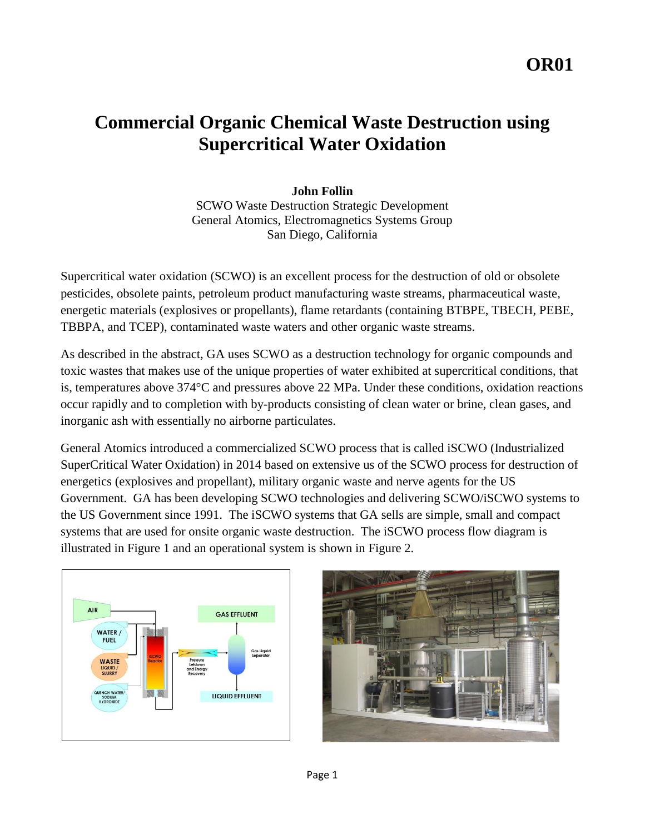# **Commercial Organic Chemical Waste Destruction using Supercritical Water Oxidation**

## **John Follin**

SCWO Waste Destruction Strategic Development General Atomics, Electromagnetics Systems Group San Diego, California

Supercritical water oxidation (SCWO) is an excellent process for the destruction of old or obsolete pesticides, obsolete paints, petroleum product manufacturing waste streams, pharmaceutical waste, energetic materials (explosives or propellants), flame retardants (containing BTBPE, TBECH, PEBE, TBBPA, and TCEP), contaminated waste waters and other organic waste streams.

As described in the abstract, GA uses SCWO as a destruction technology for organic compounds and toxic wastes that makes use of the unique properties of water exhibited at supercritical conditions, that is, temperatures above 374°C and pressures above 22 MPa. Under these conditions, oxidation reactions occur rapidly and to completion with by-products consisting of clean water or brine, clean gases, and inorganic ash with essentially no airborne particulates.

General Atomics introduced a commercialized SCWO process that is called iSCWO (Industrialized SuperCritical Water Oxidation) in 2014 based on extensive us of the SCWO process for destruction of energetics (explosives and propellant), military organic waste and nerve agents for the US Government. GA has been developing SCWO technologies and delivering SCWO/iSCWO systems to the US Government since 1991. The iSCWO systems that GA sells are simple, small and compact systems that are used for onsite organic waste destruction. The iSCWO process flow diagram is illustrated in Figure 1 and an operational system is shown in Figure 2.



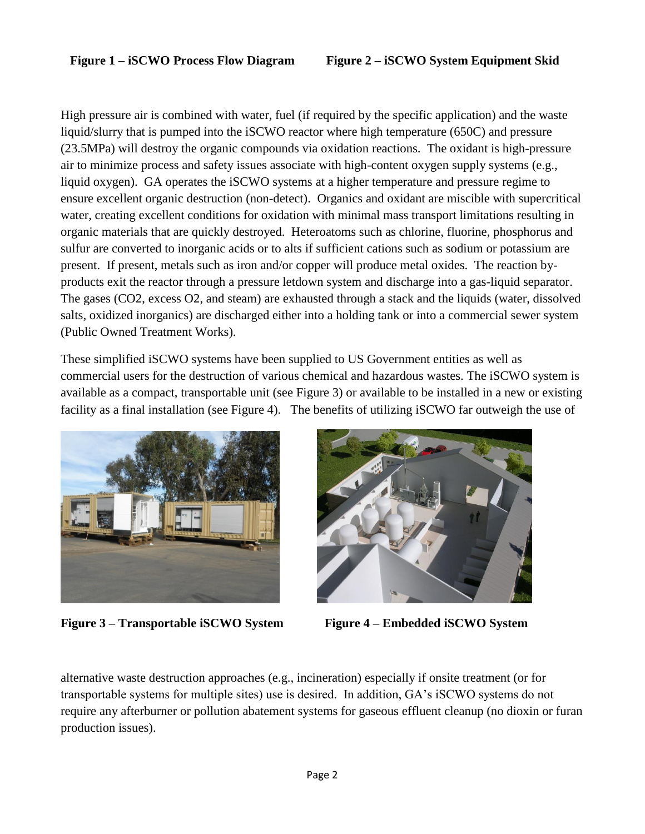High pressure air is combined with water, fuel (if required by the specific application) and the waste liquid/slurry that is pumped into the iSCWO reactor where high temperature (650C) and pressure (23.5MPa) will destroy the organic compounds via oxidation reactions. The oxidant is high-pressure air to minimize process and safety issues associate with high-content oxygen supply systems (e.g., liquid oxygen). GA operates the iSCWO systems at a higher temperature and pressure regime to ensure excellent organic destruction (non-detect). Organics and oxidant are miscible with supercritical water, creating excellent conditions for oxidation with minimal mass transport limitations resulting in organic materials that are quickly destroyed. Heteroatoms such as chlorine, fluorine, phosphorus and sulfur are converted to inorganic acids or to alts if sufficient cations such as sodium or potassium are present. If present, metals such as iron and/or copper will produce metal oxides. The reaction byproducts exit the reactor through a pressure letdown system and discharge into a gas-liquid separator. The gases (CO2, excess O2, and steam) are exhausted through a stack and the liquids (water, dissolved salts, oxidized inorganics) are discharged either into a holding tank or into a commercial sewer system (Public Owned Treatment Works).

These simplified iSCWO systems have been supplied to US Government entities as well as commercial users for the destruction of various chemical and hazardous wastes. The iSCWO system is available as a compact, transportable unit (see Figure 3) or available to be installed in a new or existing facility as a final installation (see Figure 4). The benefits of utilizing iSCWO far outweigh the use of



**Figure 3 – Transportable iSCWO System Figure 4 – Embedded iSCWO System**



alternative waste destruction approaches (e.g., incineration) especially if onsite treatment (or for transportable systems for multiple sites) use is desired. In addition, GA's iSCWO systems do not require any afterburner or pollution abatement systems for gaseous effluent cleanup (no dioxin or furan production issues).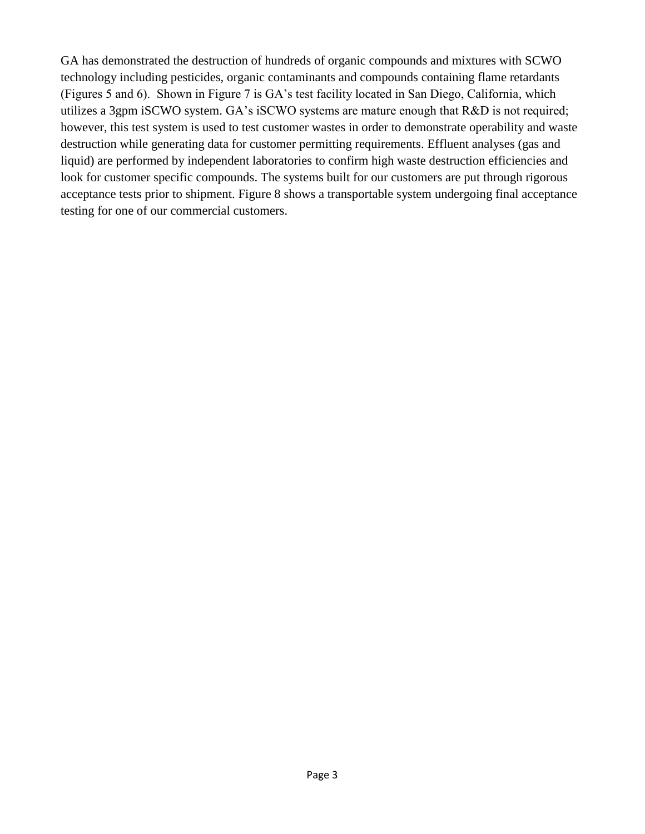GA has demonstrated the destruction of hundreds of organic compounds and mixtures with SCWO technology including pesticides, organic contaminants and compounds containing flame retardants (Figures 5 and 6). Shown in Figure 7 is GA's test facility located in San Diego, California, which utilizes a 3gpm iSCWO system. GA's iSCWO systems are mature enough that R&D is not required; however, this test system is used to test customer wastes in order to demonstrate operability and waste destruction while generating data for customer permitting requirements. Effluent analyses (gas and liquid) are performed by independent laboratories to confirm high waste destruction efficiencies and look for customer specific compounds. The systems built for our customers are put through rigorous acceptance tests prior to shipment. Figure 8 shows a transportable system undergoing final acceptance testing for one of our commercial customers.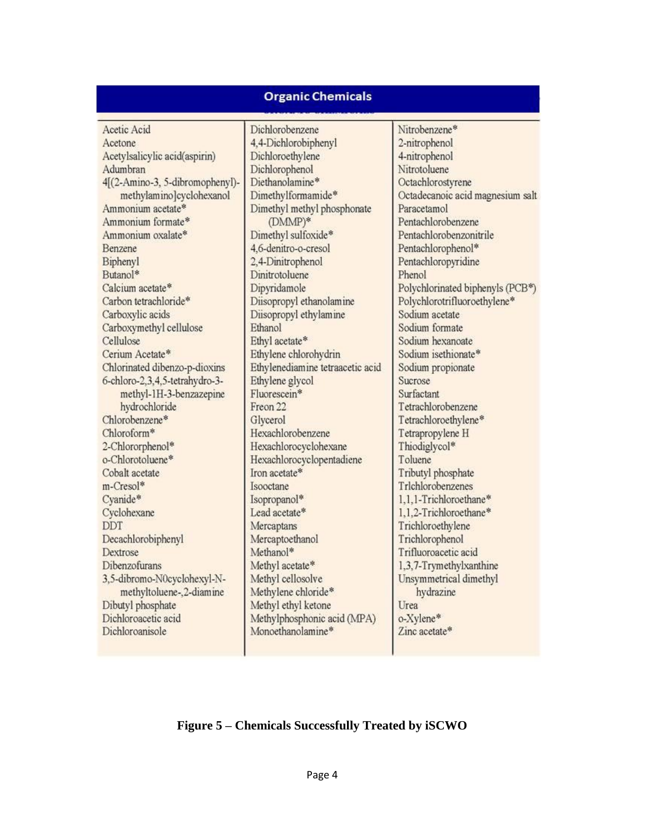### **Organic Chemicals**

Acetic Acid Acetone Acetylsalicylic acid(aspirin) Adumbran 4[(2-Amino-3, 5-dibromophenyl)methylamino]cyclohexanol Ammonium acetate\* Ammonium formate\* Ammonium oxalate\* Benzene Biphenyl Butanol\* Calcium acetate\* Carbon tetrachloride\* Carboxylic acids Carboxymethyl cellulose Cellulose Cerium Acetate\* Chlorinated dibenzo-p-dioxins 6-chloro-2.3.4.5-tetrahydro-3methyl-1H-3-benzazepine hydrochloride Chlorobenzene\* Chloroform\* 2-Chlororphenol\* o-Chlorotoluene\* Cobalt acetate m-Cresol\* Cyanide\* Cyclohexane **DDT** Decachlorobiphenyl Dextrose **Dibenzofurans** 3,5-dibromo-N0cyclohexyl-Nmethyltoluene-2-diamine Dibutyl phosphate Dichloroacetic acid Dichloroanisole

Dichlorobenzene 4,4-Dichlorobiphenyl Dichloroethylene Dichlorophenol Diethanolamine\* Dimethylformamide\* Dimethyl methyl phosphonate (DMMP)\* Dimethyl sulfoxide\* 4.6-denitro-o-cresol 2,4-Dinitrophenol Dinitrotoluene Dipyridamole Diisopropyl ethanolamine Diisopropyl ethylamine Ethanol Ethyl acetate\* Ethylene chlorohydrin Ethylenediamine tetraacetic acid Ethylene glycol Fluorescein\* Freon 22 Glycerol Hexachlorobenzene Hexachlorocyclohexane Hexachlorocyclopentadiene Iron acetate\* Isooctane Isopropanol\* Lead acetate\* Mercaptans Mercaptoethanol Methanol\* Methyl acetate\* Methyl cellosolve Methylene chloride\* Methyl ethyl ketone Methylphosphonic acid (MPA) Monoethanolamine\*

Nitrobenzene\* 2-nitrophenol 4-nitrophenol Nitrotoluene Octachlorostyrene Octadecanoic acid magnesium salt Paracetamol Pentachlorobenzene Pentachlorobenzonitrile Pentachlorophenol\* Pentachloropyridine Phenol Polychlorinated biphenyls (PCB\*) Polychlorotrifluoroethylene\* Sodium acetate Sodium formate Sodium hexanoate Sodium isethionate\* Sodium propionate Sucrose Surfactant Tetrachlorobenzene Tetrachloroethylene\* Tetrapropylene H Thiodiglycol\* Toluene Tributyl phosphate Trlchlorobenzenes 1.1.1-Trichloroethane\* 1.1.2-Trichloroethane\* Trichloroethylene Trichlorophenol Trifluoroacetic acid 1,3,7-Trymethylxanthine Unsymmetrical dimethyl hydrazine Urea o-Xylene\* Zinc acetate\*

### **Figure 5 – Chemicals Successfully Treated by iSCWO**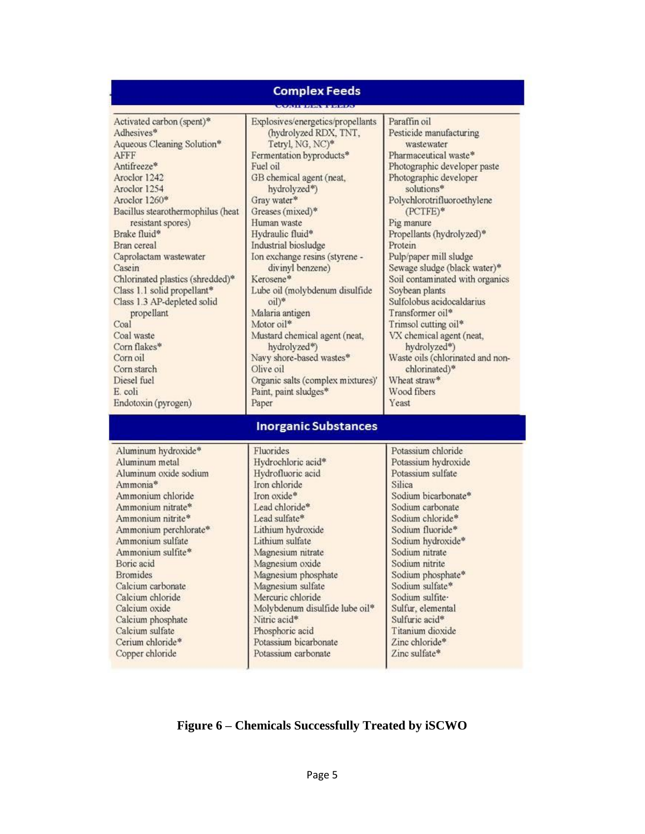#### **Complex Feeds** Activated carbon (spent)\* Explosives/energetics/propellants Paraffin oil (hydrolyzed RDX, TNT, Pesticide manufacturing Adhesives\* Aqueous Cleaning Solution\* Tetryl, NG, NC)\* wastewater **AFFF** Fermentation byproducts\* Pharmaceutical waste\* Antifreeze\* Fuel oil Photographic developer paste Aroclor 1242 GB chemical agent (neat, Photographic developer Aroclor 1254 hydrolyzed\*) solutions\* Aroclor 1260\* Polychlorotrifluoroethylene Gray water\* Bacillus stearothermophilus (heat Greases (mixed)\* (PCTFE)\* resistant spores) Human waste Pig manure Brake fluid\* Hydraulic fluid\* Propellants (hydrolyzed)\* Industrial biosludge Bran cereal Protein Caprolactam wastewater Ion exchange resins (styrene -Pulp/paper mill sludge divinyl benzene) Sewage sludge (black water)\* Casein Chlorinated plastics (shredded)\* Kerosene\* Soil contaminated with organics Class 1.1 solid propellant\* Lube oil (molybdenum disulfide Soybean plants Class 1.3 AP-depleted solid oil)\* Sulfolobus acidocaldarius Malaria antigen Transformer oil\* propellant Coal Motor oil\* Trimsol cutting oil\* Coal waste Mustard chemical agent (neat, VX chemical agent (neat, Corn flakes\* hydrolyzed\*) hydrolyzed\*) Corn oil Navy shore-based wastes\* Waste oils (chlorinated and nonchlorinated)\* Corn starch Olive oil Wheat straw\* Diesel fuel Organic salts (complex mixtures)' E. coli Paint, paint sludges\* Wood fibers Endotoxin (pyrogen) Paper Yeast **Inorganic Substances** Aluminum hydroxide\* Fluorides Potassium chloride Aluminum metal Hydrochloric acid\* Potassium hydroxide Aluminum oxide sodium Hydrofluoric acid Potassium sulfate Iron chloride Ammonia\* **Silica** Iron oxide\* Sodium bicarbonate\* Ammonium chloride Lead chloride\* Ammonium nitrate\* Sodium carbonate Ammonium nitrite\* Lead sulfate\* Sodium chloride\* Ammonium perchlorate\* Lithium hydroxide Sodium fluoride\* Ammonium sulfate Lithium sulfate Sodium hydroxide\* Sodium nitrate Ammonium sulfite\* Magnesium nitrate

### **Figure 6 – Chemicals Successfully Treated by iSCWO**

Magnesium oxide Magnesium phosphate

Magnesium sulfate

Molybdenum disulfide lube oil\*

Mercuric chloride

Phosphoric acid

Potassium bicarbonate

Potassium carbonate

Nitric acid\*

Sodium nitrite

Sodium sulfate\*

Sodium sulfite-

Sulfuric acid\*

Zinc chloride\*

Zinc sulfate\*

Sulfur, elemental

Titanium dioxide

Sodium phosphate\*

Boric acid

**Bromides** 

Calcium carbonate

Calcium chloride

Calcium oxide Calcium phosphate

Calcium sulfate

Cerium chloride\*

Copper chloride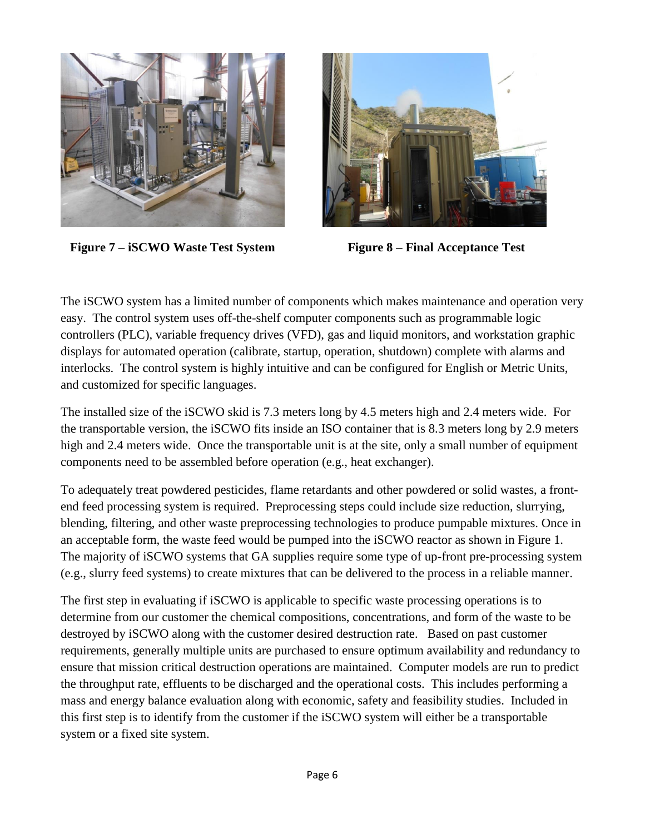

**Figure 7 – iSCWO Waste Test System Figure 8 – Final Acceptance Test**



The iSCWO system has a limited number of components which makes maintenance and operation very easy. The control system uses off-the-shelf computer components such as programmable logic controllers (PLC), variable frequency drives (VFD), gas and liquid monitors, and workstation graphic displays for automated operation (calibrate, startup, operation, shutdown) complete with alarms and interlocks. The control system is highly intuitive and can be configured for English or Metric Units, and customized for specific languages.

The installed size of the iSCWO skid is 7.3 meters long by 4.5 meters high and 2.4 meters wide. For the transportable version, the iSCWO fits inside an ISO container that is 8.3 meters long by 2.9 meters high and 2.4 meters wide. Once the transportable unit is at the site, only a small number of equipment components need to be assembled before operation (e.g., heat exchanger).

To adequately treat powdered pesticides, flame retardants and other powdered or solid wastes, a frontend feed processing system is required. Preprocessing steps could include size reduction, slurrying, blending, filtering, and other waste preprocessing technologies to produce pumpable mixtures. Once in an acceptable form, the waste feed would be pumped into the iSCWO reactor as shown in Figure 1. The majority of iSCWO systems that GA supplies require some type of up-front pre-processing system (e.g., slurry feed systems) to create mixtures that can be delivered to the process in a reliable manner.

The first step in evaluating if iSCWO is applicable to specific waste processing operations is to determine from our customer the chemical compositions, concentrations, and form of the waste to be destroyed by iSCWO along with the customer desired destruction rate. Based on past customer requirements, generally multiple units are purchased to ensure optimum availability and redundancy to ensure that mission critical destruction operations are maintained. Computer models are run to predict the throughput rate, effluents to be discharged and the operational costs. This includes performing a mass and energy balance evaluation along with economic, safety and feasibility studies. Included in this first step is to identify from the customer if the iSCWO system will either be a transportable system or a fixed site system.